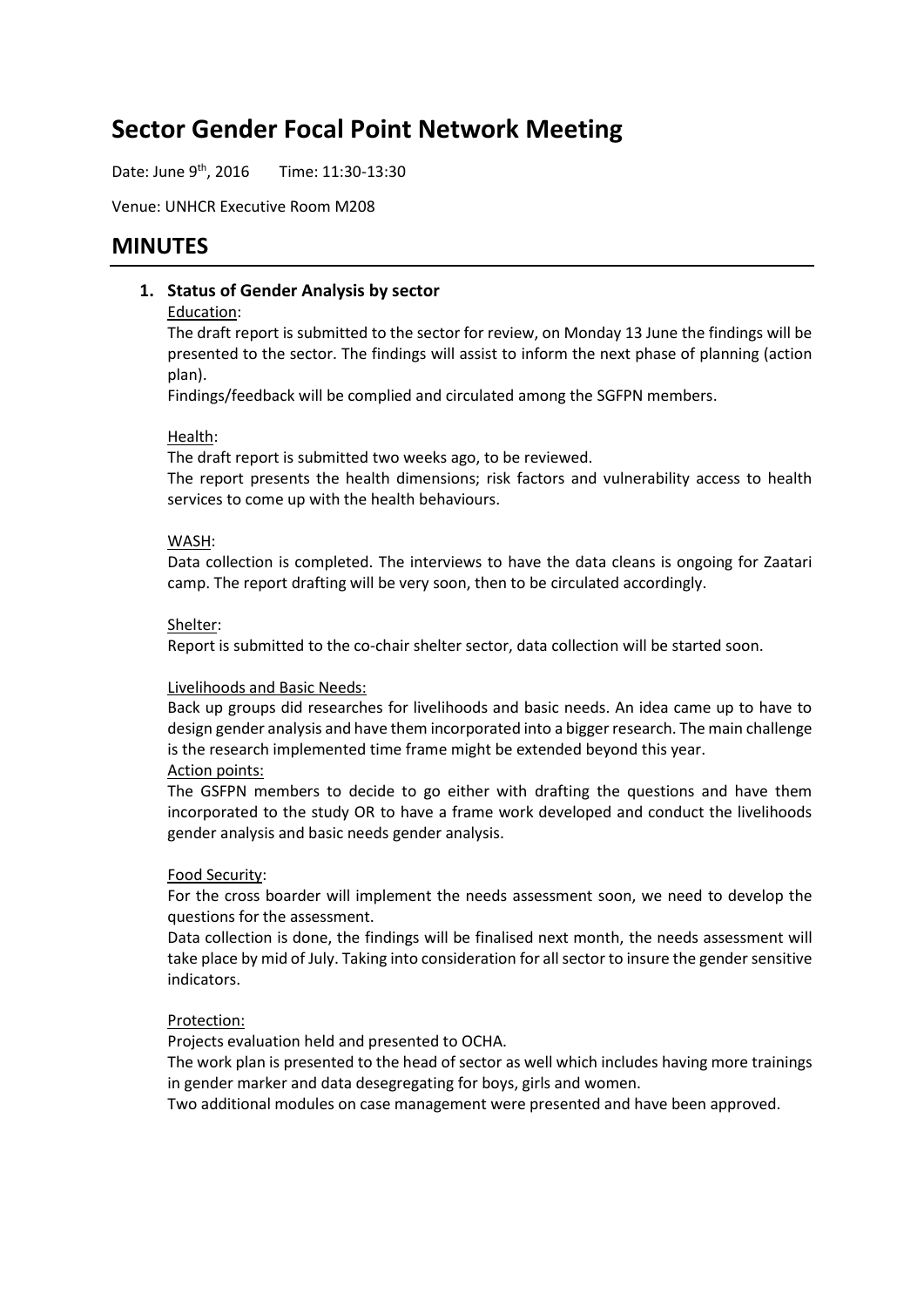# **Sector Gender Focal Point Network Meeting**

Date: June 9<sup>th</sup>, 2016 Time: 11:30-13:30

Venue: UNHCR Executive Room M208

# **MINUTES**

#### **1. Status of Gender Analysis by sector**

#### Education:

The draft report is submitted to the sector for review, on Monday 13 June the findings will be presented to the sector. The findings will assist to inform the next phase of planning (action plan).

Findings/feedback will be complied and circulated among the SGFPN members.

#### Health:

The draft report is submitted two weeks ago, to be reviewed.

The report presents the health dimensions; risk factors and vulnerability access to health services to come up with the health behaviours.

#### WASH:

Data collection is completed. The interviews to have the data cleans is ongoing for Zaatari camp. The report drafting will be very soon, then to be circulated accordingly.

#### Shelter:

Report is submitted to the co-chair shelter sector, data collection will be started soon.

#### Livelihoods and Basic Needs:

Back up groups did researches for livelihoods and basic needs. An idea came up to have to design gender analysis and have them incorporated into a bigger research. The main challenge is the research implemented time frame might be extended beyond this year.

#### Action points:

The GSFPN members to decide to go either with drafting the questions and have them incorporated to the study OR to have a frame work developed and conduct the livelihoods gender analysis and basic needs gender analysis.

#### Food Security:

For the cross boarder will implement the needs assessment soon, we need to develop the questions for the assessment.

Data collection is done, the findings will be finalised next month, the needs assessment will take place by mid of July. Taking into consideration for all sector to insure the gender sensitive indicators.

#### Protection:

Projects evaluation held and presented to OCHA.

The work plan is presented to the head of sector as well which includes having more trainings in gender marker and data desegregating for boys, girls and women.

Two additional modules on case management were presented and have been approved.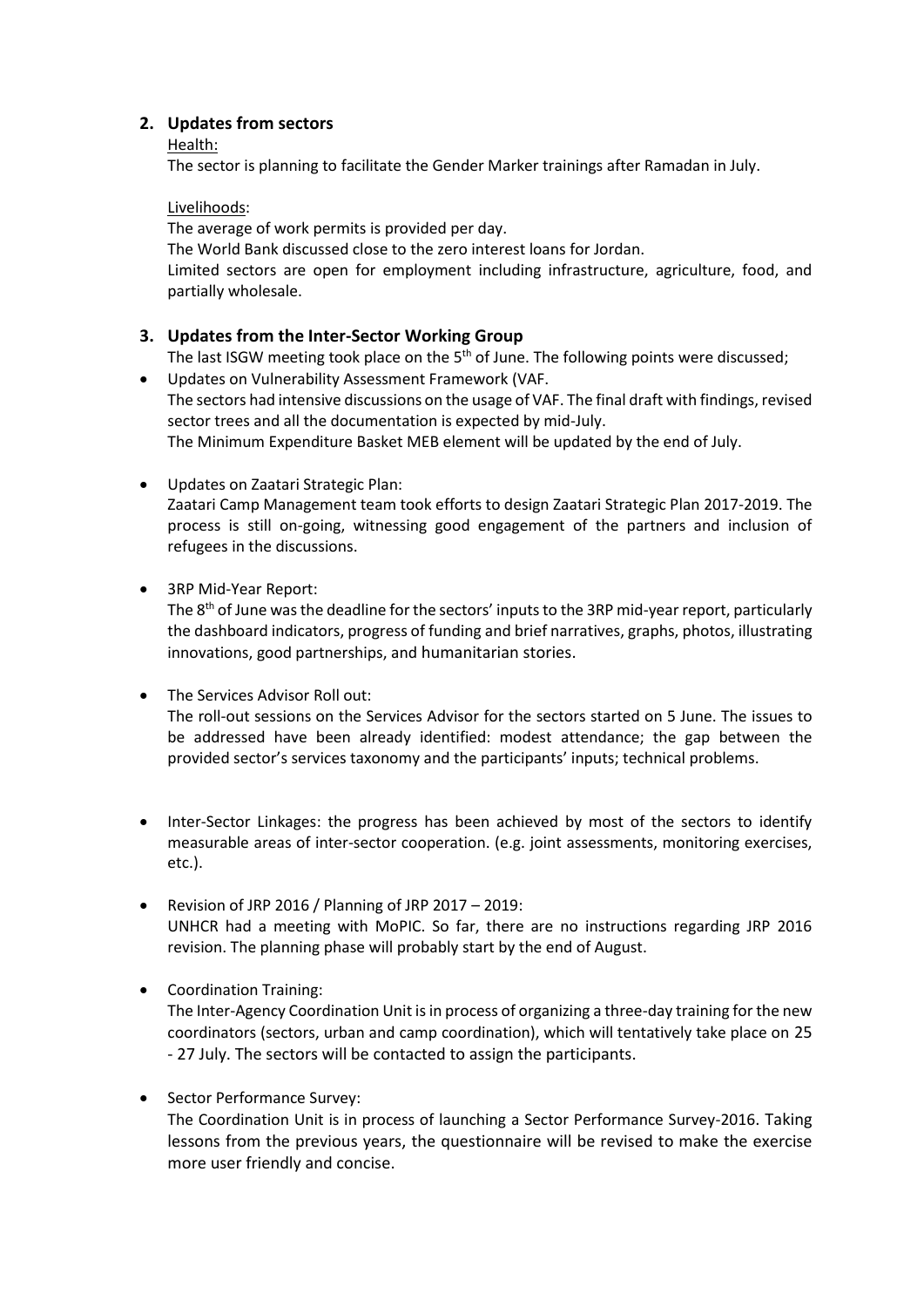### **2. Updates from sectors**

#### Health:

The sector is planning to facilitate the Gender Marker trainings after Ramadan in July.

Livelihoods:

The average of work permits is provided per day. The World Bank discussed close to the zero interest loans for Jordan. Limited sectors are open for employment including infrastructure, agriculture, food, and partially wholesale.

## **3. Updates from the Inter-Sector Working Group**

The last ISGW meeting took place on the 5<sup>th</sup> of June. The following points were discussed;

 Updates on Vulnerability Assessment Framework (VAF. The sectors had intensive discussions on the usage of VAF. The final draft with findings, revised sector trees and all the documentation is expected by mid-July. The Minimum Expenditure Basket MEB element will be updated by the end of July.

- Updates on Zaatari Strategic Plan: Zaatari Camp Management team took efforts to design Zaatari Strategic Plan 2017-2019. The process is still on-going, witnessing good engagement of the partners and inclusion of refugees in the discussions.
- 3RP Mid-Year Report:

The  $8<sup>th</sup>$  of June was the deadline for the sectors' inputs to the 3RP mid-year report, particularly the dashboard indicators, progress of funding and brief narratives, graphs, photos, illustrating innovations, good partnerships, and humanitarian stories.

• The Services Advisor Roll out:

The roll-out sessions on the Services Advisor for the sectors started on 5 June. The issues to be addressed have been already identified: modest attendance; the gap between the provided sector's services taxonomy and the participants' inputs; technical problems.

- Inter-Sector Linkages: the progress has been achieved by most of the sectors to identify measurable areas of inter-sector cooperation. (e.g. joint assessments, monitoring exercises, etc.).
- Revision of JRP 2016 / Planning of JRP 2017 2019: UNHCR had a meeting with MoPIC. So far, there are no instructions regarding JRP 2016 revision. The planning phase will probably start by the end of August.
- Coordination Training:

The Inter-Agency Coordination Unit is in process of organizing a three-day training for the new coordinators (sectors, urban and camp coordination), which will tentatively take place on 25 - 27 July. The sectors will be contacted to assign the participants.

• Sector Performance Survey:

The Coordination Unit is in process of launching a Sector Performance Survey-2016. Taking lessons from the previous years, the questionnaire will be revised to make the exercise more user friendly and concise.